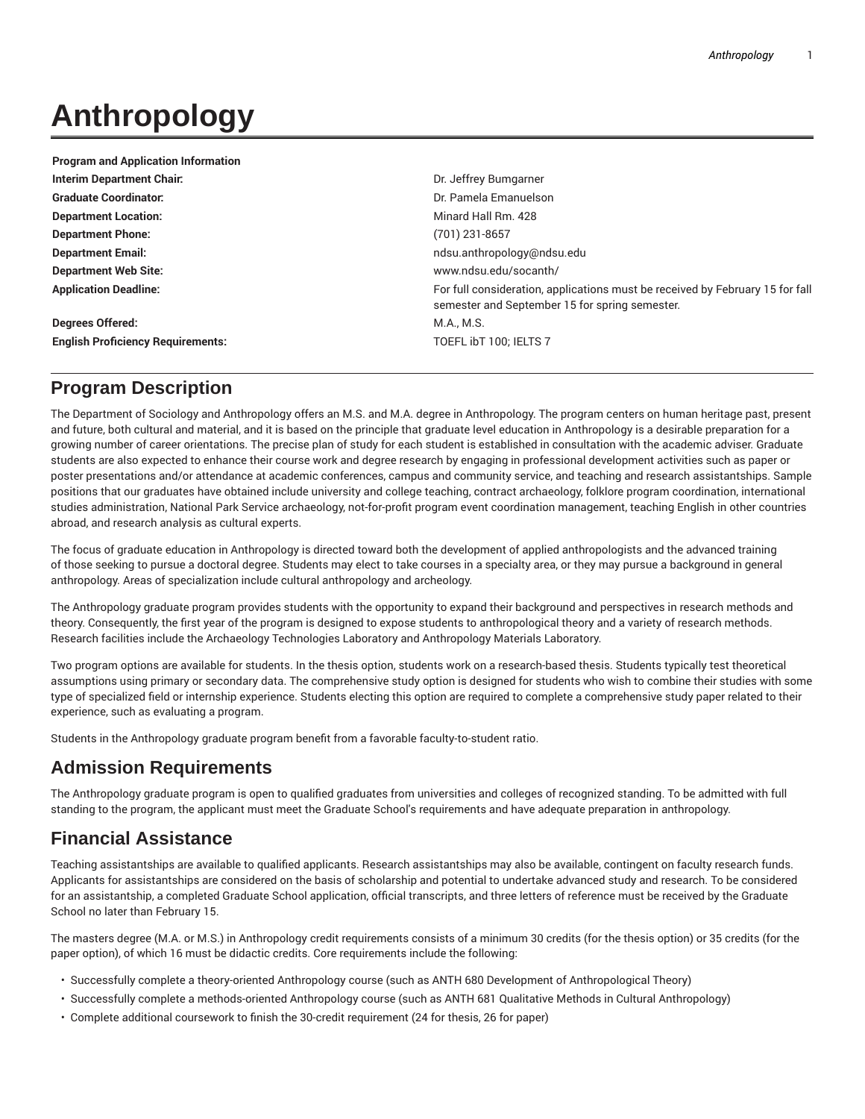# **Anthropology**

| <b>Program and Application Information</b> |                                                                                                                                 |
|--------------------------------------------|---------------------------------------------------------------------------------------------------------------------------------|
| Interim Department Chair:                  | Dr. Jeffrey Bumgarner                                                                                                           |
| <b>Graduate Coordinator:</b>               | Dr. Pamela Emanuelson                                                                                                           |
| <b>Department Location:</b>                | Minard Hall Rm, 428                                                                                                             |
| <b>Department Phone:</b>                   | $(701)$ 231-8657                                                                                                                |
| <b>Department Email:</b>                   | ndsu.anthropology@ndsu.edu                                                                                                      |
| <b>Department Web Site:</b>                | www.ndsu.edu/socanth/                                                                                                           |
| <b>Application Deadline:</b>               | For full consideration, applications must be received by February 15 for fall<br>semester and September 15 for spring semester. |
| Degrees Offered:                           | M.A., M.S.                                                                                                                      |
| <b>English Proficiency Requirements:</b>   | TOEFL IbT 100: IELTS 7                                                                                                          |

## **Program Description**

The Department of Sociology and Anthropology offers an M.S. and M.A. degree in Anthropology. The program centers on human heritage past, present and future, both cultural and material, and it is based on the principle that graduate level education in Anthropology is a desirable preparation for a growing number of career orientations. The precise plan of study for each student is established in consultation with the academic adviser. Graduate students are also expected to enhance their course work and degree research by engaging in professional development activities such as paper or poster presentations and/or attendance at academic conferences, campus and community service, and teaching and research assistantships. Sample positions that our graduates have obtained include university and college teaching, contract archaeology, folklore program coordination, international studies administration, National Park Service archaeology, not-for-profit program event coordination management, teaching English in other countries abroad, and research analysis as cultural experts.

The focus of graduate education in Anthropology is directed toward both the development of applied anthropologists and the advanced training of those seeking to pursue a doctoral degree. Students may elect to take courses in a specialty area, or they may pursue a background in general anthropology. Areas of specialization include cultural anthropology and archeology.

The Anthropology graduate program provides students with the opportunity to expand their background and perspectives in research methods and theory. Consequently, the first year of the program is designed to expose students to anthropological theory and a variety of research methods. Research facilities include the Archaeology Technologies Laboratory and Anthropology Materials Laboratory.

Two program options are available for students. In the thesis option, students work on a research-based thesis. Students typically test theoretical assumptions using primary or secondary data. The comprehensive study option is designed for students who wish to combine their studies with some type of specialized field or internship experience. Students electing this option are required to complete a comprehensive study paper related to their experience, such as evaluating a program.

Students in the Anthropology graduate program benefit from a favorable faculty-to-student ratio.

## **Admission Requirements**

The Anthropology graduate program is open to qualified graduates from universities and colleges of recognized standing. To be admitted with full standing to the program, the applicant must meet the Graduate School's requirements and have adequate preparation in anthropology.

## **Financial Assistance**

Teaching assistantships are available to qualified applicants. Research assistantships may also be available, contingent on faculty research funds. Applicants for assistantships are considered on the basis of scholarship and potential to undertake advanced study and research. To be considered for an assistantship, a completed Graduate School application, official transcripts, and three letters of reference must be received by the Graduate School no later than February 15.

The masters degree (M.A. or M.S.) in Anthropology credit requirements consists of a minimum 30 credits (for the thesis option) or 35 credits (for the paper option), of which 16 must be didactic credits. Core requirements include the following:

- Successfully complete a theory-oriented Anthropology course (such as ANTH 680 Development of Anthropological Theory)
- Successfully complete a methods-oriented Anthropology course (such as ANTH 681 Qualitative Methods in Cultural Anthropology)
- Complete additional coursework to finish the 30-credit requirement (24 for thesis, 26 for paper)